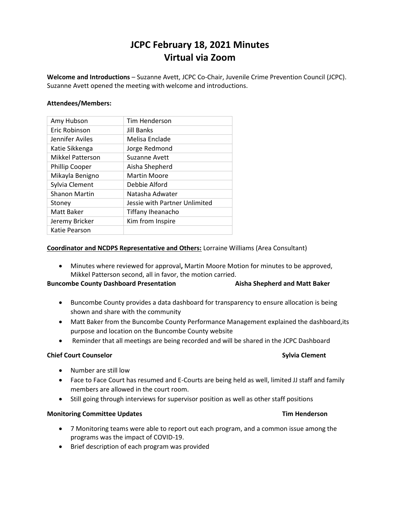# **JCPC February 18, 2021 Minutes Virtual via Zoom**

**Welcome and Introductions** – Suzanne Avett, JCPC Co-Chair, Juvenile Crime Prevention Council (JCPC). Suzanne Avett opened the meeting with welcome and introductions.

### **Attendees/Members:**

| Amy Hubson              | Tim Henderson                 |  |
|-------------------------|-------------------------------|--|
| Eric Robinson           | <b>Jill Banks</b>             |  |
| Jennifer Aviles         | Melisa Enclade                |  |
| Katie Sikkenga          | Jorge Redmond                 |  |
| <b>Mikkel Patterson</b> | <b>Suzanne Avett</b>          |  |
| <b>Phillip Cooper</b>   | Aisha Shepherd                |  |
| Mikayla Benigno         | <b>Martin Moore</b>           |  |
| Sylvia Clement          | Debbie Alford                 |  |
| <b>Shanon Martin</b>    | Natasha Adwater               |  |
| Stoney                  | Jessie with Partner Unlimited |  |
| Matt Baker              | Tiffany Iheanacho             |  |
| Jeremy Bricker          | Kim from Inspire              |  |
| Katie Pearson           |                               |  |

### **Coordinator and NCDPS Representative and Others:** Lorraine Williams (Area Consultant)

 Minutes where reviewed for approval**,** Martin Moore Motion for minutes to be approved, Mikkel Patterson second, all in favor, the motion carried.

## **Buncombe County Dashboard Presentation Aisha Shepherd and Matt Baker**

- Buncombe County provides a data dashboard for transparency to ensure allocation is being shown and share with the community
- Matt Baker from the Buncombe County Performance Management explained the dashboard,its purpose and location on the Buncombe County website
- Reminder that all meetings are being recorded and will be shared in the JCPC Dashboard

### **Chief Court Counselor Sylvia Clement Sylvia Clement**

- Number are still low
- Face to Face Court has resumed and E-Courts are being held as well, limited JJ staff and family members are allowed in the court room.
- Still going through interviews for supervisor position as well as other staff positions

### **Monitoring Committee Updates Tim Henderson**

- 7 Monitoring teams were able to report out each program, and a common issue among the programs was the impact of COVID-19.
- Brief description of each program was provided